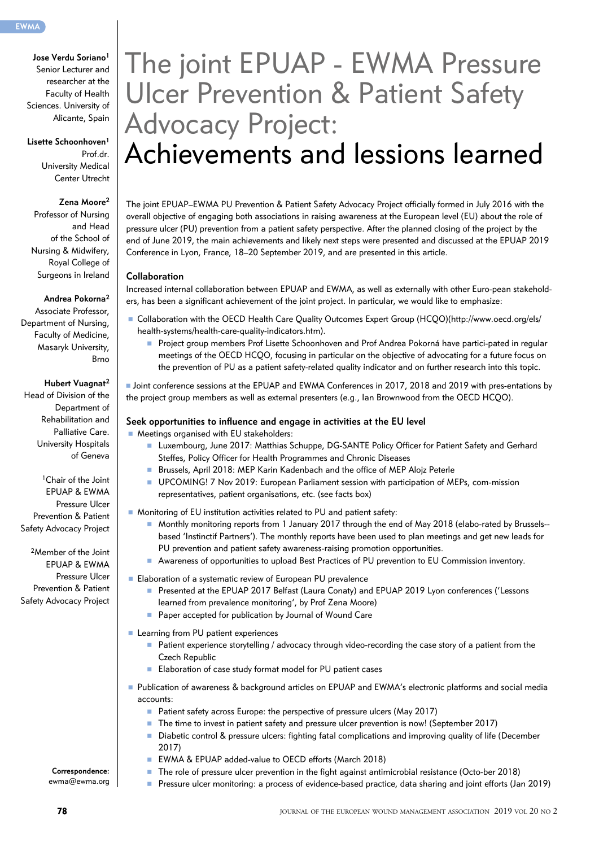**Jose Verdu Soriano1** Senior Lecturer and researcher at the Faculty of Health Sciences. University of Alicante, Spain

**Lisette Schoonhoven1** Prof.dr. University Medical Center Utrecht

#### **Zena Moore2**

Professor of Nursing and Head of the School of Nursing & Midwifery, Royal College of Surgeons in Ireland

#### **Andrea Pokorna2**

Associate Professor, Department of Nursing, Faculty of Medicine, Masaryk University, Brno

#### **Hubert Vuagnat2**

Head of Division of the Department of Rehabilitation and Palliative Care. University Hospitals of Geneva

1Chair of the Joint EPUAP & EWMA Pressure Ulcer Prevention & Patient Safety Advocacy Project

2Member of the Joint EPUAP & EWMA Pressure Ulcer Prevention & Patient Safety Advocacy Project

# The joint EPUAP - EWMA Pressure Ulcer Prevention & Patient Safety Advocacy Project: Achievements and lessions learned

The joint EPUAP–EWMA PU Prevention & Patient Safety Advocacy Project officially formed in July 2016 with the overall objective of engaging both associations in raising awareness at the European level (EU) about the role of pressure ulcer (PU) prevention from a patient safety perspective. After the planned closing of the project by the end of June 2019, the main achievements and likely next steps were presented and discussed at the EPUAP 2019 Conference in Lyon, France, 18–20 September 2019, and are presented in this article.

#### **Collaboration**

Increased internal collaboration between EPUAP and EWMA, as well as externally with other Euro-pean stakeholders, has been a significant achievement of the joint project. In particular, we would like to emphasize:

- n Collaboration with the OECD Health Care Quality Outcomes Expert Group (HCQO)(http://www.oecd.org/els/ health-systems/health-care-quality-indicators.htm).
	- **n** Project group members Prof Lisette Schoonhoven and Prof Andrea Pokorná have partici-pated in regular meetings of the OECD HCQO, focusing in particular on the objective of advocating for a future focus on the prevention of PU as a patient safety-related quality indicator and on further research into this topic.

n Joint conference sessions at the EPUAP and EWMA Conferences in 2017, 2018 and 2019 with pres-entations by the project group members as well as external presenters (e.g., Ian Brownwood from the OECD HCQO).

#### **Seek opportunities to influence and engage in activities at the EU level**

- Meetings organised with EU stakeholders:
	- n Luxembourg, June 2017: Matthias Schuppe, DG-SANTE Policy Officer for Patient Safety and Gerhard Steffes, Policy Officer for Health Programmes and Chronic Diseases
	- Brussels, April 2018: MEP Karin Kadenbach and the office of MEP Alojz Peterle
	- n UPCOMING! 7 Nov 2019: European Parliament session with participation of MEPs, com-mission representatives, patient organisations, etc. (see facts box)
- Monitoring of EU institution activities related to PU and patient safety:
	- Monthly monitoring reports from 1 January 2017 through the end of May 2018 (elabo-rated by Brussels- based 'Instinctif Partners'). The monthly reports have been used to plan meetings and get new leads for PU prevention and patient safety awareness-raising promotion opportunities.
	- n Awareness of opportunities to upload Best Practices of PU prevention to EU Commission inventory.
- Elaboration of a systematic review of European PU prevalence
	- n Presented at the EPUAP 2017 Belfast (Laura Conaty) and EPUAP 2019 Lyon conferences ('Lessons learned from prevalence monitoring', by Prof Zena Moore)
	- Paper accepted for publication by Journal of Wound Care
- **n** Learning from PU patient experiences
	- $\blacksquare$  Patient experience storytelling / advocacy through video-recording the case story of a patient from the Czech Republic
	- Elaboration of case study format model for PU patient cases
- n Publication of awareness & background articles on EPUAP and EWMA's electronic platforms and social media accounts:
	- Patient safety across Europe: the perspective of pressure ulcers (May 2017)
	- The time to invest in patient safety and pressure ulcer prevention is now! (September 2017)
	- n Diabetic control & pressure ulcers: fighting fatal complications and improving quality of life (December 2017)

n Pressure ulcer monitoring: a process of evidence-based practice, data sharing and joint efforts (Jan 2019)

- EWMA & EPUAP added-value to OECD efforts (March 2018)
- The role of pressure ulcer prevention in the fight against antimicrobial resistance (Octo-ber 2018)

**Correspondence:**  ewma@ewma.org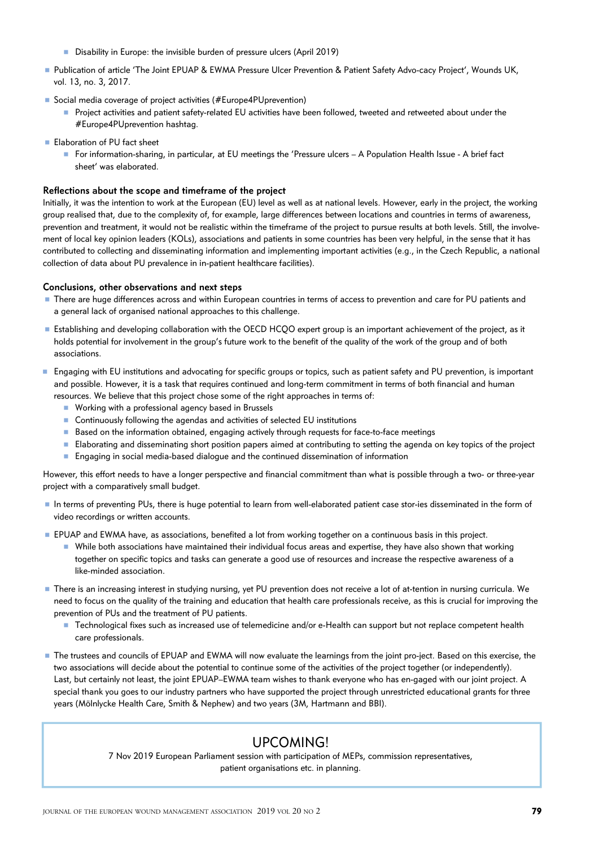- Disability in Europe: the invisible burden of pressure ulcers (April 2019)
- n Publication of article 'The Joint EPUAP & EWMA Pressure Ulcer Prevention & Patient Safety Advo-cacy Project', Wounds UK, vol. 13, no. 3, 2017.
- Social media coverage of project activities (#Europe4PUprevention)
	- **Project activities and patient safety-related EU activities have been followed, tweeted and retweeted about under the** #Europe4PUprevention hashtag.
- **Elaboration of PU fact sheet** 
	- For information-sharing, in particular, at EU meetings the 'Pressure ulcers A Population Health Issue A brief fact sheet' was elaborated.

### **Reflections about the scope and timeframe of the project**

Initially, it was the intention to work at the European (EU) level as well as at national levels. However, early in the project, the working group realised that, due to the complexity of, for example, large differences between locations and countries in terms of awareness, prevention and treatment, it would not be realistic within the timeframe of the project to pursue results at both levels. Still, the involvement of local key opinion leaders (KOLs), associations and patients in some countries has been very helpful, in the sense that it has contributed to collecting and disseminating information and implementing important activities (e.g., in the Czech Republic, a national collection of data about PU prevalence in in-patient healthcare facilities).

### **Conclusions, other observations and next steps**

- n There are huge differences across and within European countries in terms of access to prevention and care for PU patients and a general lack of organised national approaches to this challenge.
- n Establishing and developing collaboration with the OECD HCQO expert group is an important achievement of the project, as it holds potential for involvement in the group's future work to the benefit of the quality of the work of the group and of both associations.
- Engaging with EU institutions and advocating for specific groups or topics, such as patient safety and PU prevention, is important and possible. However, it is a task that requires continued and long-term commitment in terms of both financial and human resources. We believe that this project chose some of the right approaches in terms of:
	- Working with a professional agency based in Brussels
	- Continuously following the agendas and activities of selected EU institutions
	- Based on the information obtained, engaging actively through requests for face-to-face meetings
	- n Elaborating and disseminating short position papers aimed at contributing to setting the agenda on key topics of the project
	- **n** Engaging in social media-based dialogue and the continued dissemination of information

However, this effort needs to have a longer perspective and financial commitment than what is possible through a two- or three-year project with a comparatively small budget.

- n In terms of preventing PUs, there is huge potential to learn from well-elaborated patient case stor-ies disseminated in the form of video recordings or written accounts.
- **F** EPUAP and EWMA have, as associations, benefited a lot from working together on a continuous basis in this project.
	- n While both associations have maintained their individual focus areas and expertise, they have also shown that working together on specific topics and tasks can generate a good use of resources and increase the respective awareness of a like-minded association.
- n There is an increasing interest in studying nursing, yet PU prevention does not receive a lot of at-tention in nursing curricula. We need to focus on the quality of the training and education that health care professionals receive, as this is crucial for improving the prevention of PUs and the treatment of PU patients.
	- Technological fixes such as increased use of telemedicine and/or e-Health can support but not replace competent health care professionals.
- The trustees and councils of EPUAP and EWMA will now evaluate the learnings from the joint pro-ject. Based on this exercise, the two associations will decide about the potential to continue some of the activities of the project together (or independently). Last, but certainly not least, the joint EPUAP–EWMA team wishes to thank everyone who has en-gaged with our joint project. A special thank you goes to our industry partners who have supported the project through unrestricted educational grants for three years (Mölnlycke Health Care, Smith & Nephew) and two years (3M, Hartmann and BBI).

## UPCOMING!

7 Nov 2019 European Parliament session with participation of MEPs, commission representatives, patient organisations etc. in planning.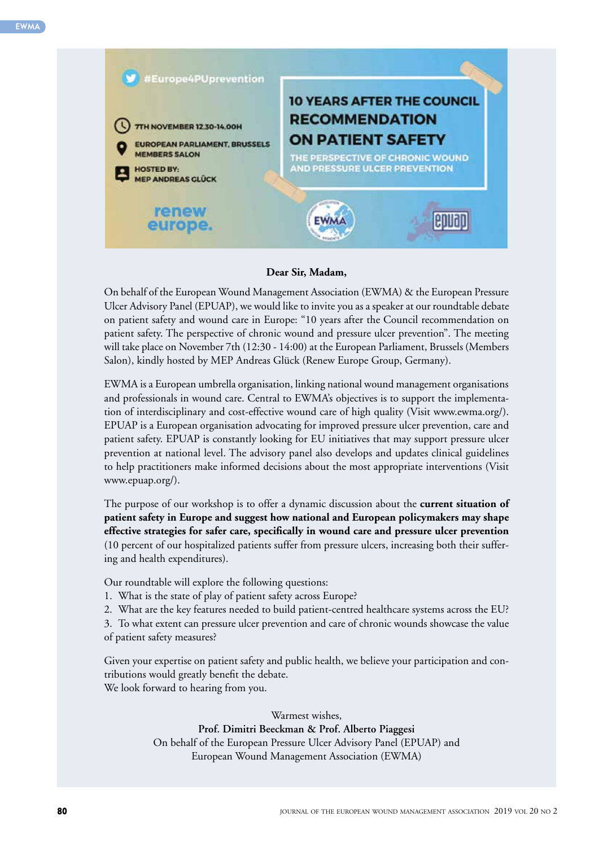

### **Dear Sir, Madam,**

On behalf of the European Wound Management Association (EWMA) & the European Pressure Ulcer Advisory Panel (EPUAP), we would like to invite you as a speaker at our roundtable debate on patient safety and wound care in Europe: "10 years after the Council recommendation on patient safety. The perspective of chronic wound and pressure ulcer prevention". The meeting will take place on November 7th (12:30 - 14:00) at the European Parliament, Brussels (Members Salon), kindly hosted by MEP Andreas Glück (Renew Europe Group, Germany).

EWMA is a European umbrella organisation, linking national wound management organisations and professionals in wound care. Central to EWMA's objectives is to support the implementation of interdisciplinary and cost-effective wound care of high quality (Visit www.ewma.org/). EPUAP is a European organisation advocating for improved pressure ulcer prevention, care and patient safety. EPUAP is constantly looking for EU initiatives that may support pressure ulcer prevention at national level. The advisory panel also develops and updates clinical guidelines to help practitioners make informed decisions about the most appropriate interventions (Visit www.epuap.org/).

The purpose of our workshop is to offer a dynamic discussion about the **current situation of patient safety in Europe and suggest how national and European policymakers may shape effective strategies for safer care, specifically in wound care and pressure ulcer prevention** (10 percent of our hospitalized patients suffer from pressure ulcers, increasing both their suffering and health expenditures).

Our roundtable will explore the following questions:

- 1. What is the state of play of patient safety across Europe?
- 2. What are the key features needed to build patient-centred healthcare systems across the EU?

3. To what extent can pressure ulcer prevention and care of chronic wounds showcase the value of patient safety measures?

Given your expertise on patient safety and public health, we believe your participation and contributions would greatly benefit the debate. We look forward to hearing from you.

> Warmest wishes, **Prof. Dimitri Beeckman & Prof. Alberto Piaggesi**  On behalf of the European Pressure Ulcer Advisory Panel (EPUAP) and European Wound Management Association (EWMA)